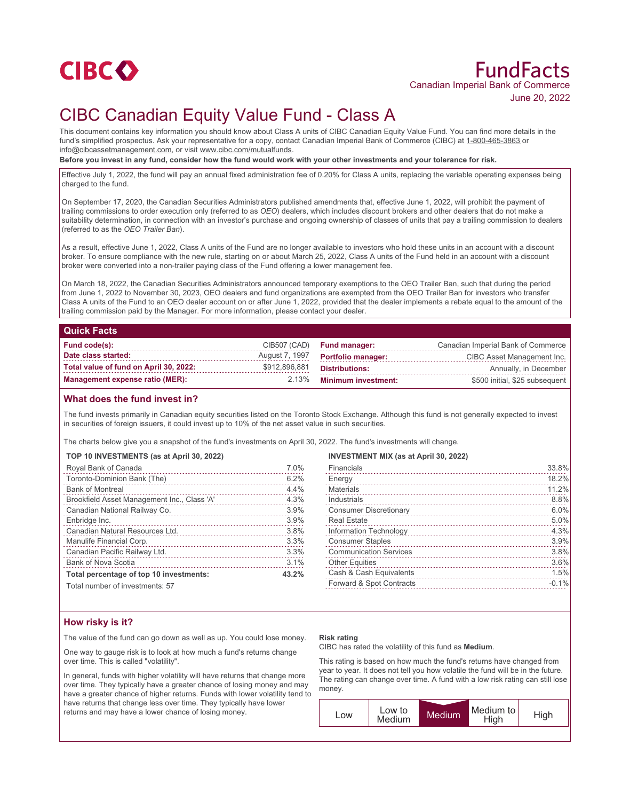

# FundFacts Canadian Imperial Bank of Commerce June 20, 2022

# CIBC Canadian Equity Value Fund - Class A

This document contains key information you should know about Class A units of CIBC Canadian Equity Value Fund. You can find more details in the fund's simplified prospectus. Ask your representative for a copy, contact Canadian Imperial Bank of Commerce (CIBC) at 1-800-465-3863 or info@cibcassetmanagement.com, or visit www.cibc.com/mutualfunds.

**Before you invest in any fund, consider how the fund would work with your other investments and your tolerance for risk.**

Effective July 1, 2022, the fund will pay an annual fixed administration fee of 0.20% for Class A units, replacing the variable operating expenses being charged to the fund.

On September 17, 2020, the Canadian Securities Administrators published amendments that, effective June 1, 2022, will prohibit the payment of trailing commissions to order execution only (referred to as *OEO*) dealers, which includes discount brokers and other dealers that do not make a suitability determination, in connection with an investor's purchase and ongoing ownership of classes of units that pay a trailing commission to dealers (referred to as the *OEO Trailer Ban*).

As a result, effective June 1, 2022, Class A units of the Fund are no longer available to investors who hold these units in an account with a discount broker. To ensure compliance with the new rule, starting on or about March 25, 2022, Class A units of the Fund held in an account with a discount broker were converted into a non-trailer paying class of the Fund offering a lower management fee.

On March 18, 2022, the Canadian Securities Administrators announced temporary exemptions to the OEO Trailer Ban, such that during the period from June 1, 2022 to November 30, 2023, OEO dealers and fund organizations are exempted from the OEO Trailer Ban for investors who transfer Class A units of the Fund to an OEO dealer account on or after June 1, 2022, provided that the dealer implements a rebate equal to the amount of the trailing commission paid by the Manager. For more information, please contact your dealer.

#### **Quick Facts**

| Fund code(s):                          |               | CIB507 (CAD) Fund manager:         | Canadian Imperial Bank of Commerce |
|----------------------------------------|---------------|------------------------------------|------------------------------------|
| Date class started:                    |               | August 7, 1997  Portfolio manager: | CIBC Asset Management Inc.         |
| Total value of fund on April 30, 2022: | \$912,896,881 | Distributions:                     | Annually, in December              |
| Management expense ratio (MER):        |               | 2.13% Minimum investment:          | \$500 initial, \$25 subsequent     |

## **What does the fund invest in?**

The fund invests primarily in Canadian equity securities listed on the Toronto Stock Exchange. Although this fund is not generally expected to invest in securities of foreign issuers, it could invest up to 10% of the net asset value in such securities.

The charts below give you a snapshot of the fund's investments on April 30, 2022. The fund's investments will change.

#### **TOP 10 INVESTMENTS (as at April 30, 2022)**

| Royal Bank of Canada                        | 7.0%  |
|---------------------------------------------|-------|
| Toronto-Dominion Bank (The)                 | 6.2%  |
| <b>Bank of Montreal</b>                     | 4.4%  |
| Brookfield Asset Management Inc., Class 'A' | 4.3%  |
| Canadian National Railway Co.               | 3.9%  |
| Enbridge Inc.                               | 3.9%  |
| Canadian Natural Resources Ltd.             | 3.8%  |
| Manulife Financial Corp.                    | 3.3%  |
| Canadian Pacific Railway Ltd.               | 3.3%  |
| <b>Bank of Nova Scotia</b>                  | 3.1%  |
| Total percentage of top 10 investments:     | 43.2% |
| Total number of invootmentar 57             |       |

Financials 33.8%

**INVESTMENT MIX (as at April 30, 2022)**

| Energy                        | 18.2%   |
|-------------------------------|---------|
| <b>Materials</b>              | 11.2%   |
| Industrials                   | 8.8%    |
| <b>Consumer Discretionary</b> | 6.0%    |
| <b>Real Estate</b>            | 5.0%    |
| Information Technology        | 4.3%    |
| <b>Consumer Staples</b>       | 3.9%    |
| <b>Communication Services</b> | 3.8%    |
| <b>Other Equities</b>         | 3.6%    |
| Cash & Cash Equivalents       | 1.5%    |
| Forward & Spot Contracts      | $-0.1%$ |
|                               |         |

Total number of investments: 57

## **How risky is it?**

The value of the fund can go down as well as up. You could lose money.

One way to gauge risk is to look at how much a fund's returns change over time. This is called "volatility".

In general, funds with higher volatility will have returns that change more over time. They typically have a greater chance of losing money and may have a greater chance of higher returns. Funds with lower volatility tend to have returns that change less over time. They typically have lower returns and may have a lower chance of losing money.

#### **Risk rating**

CIBC has rated the volatility of this fund as **Medium**.

This rating is based on how much the fund's returns have changed from year to year. It does not tell you how volatile the fund will be in the future. The rating can change over time. A fund with a low risk rating can still lose money.

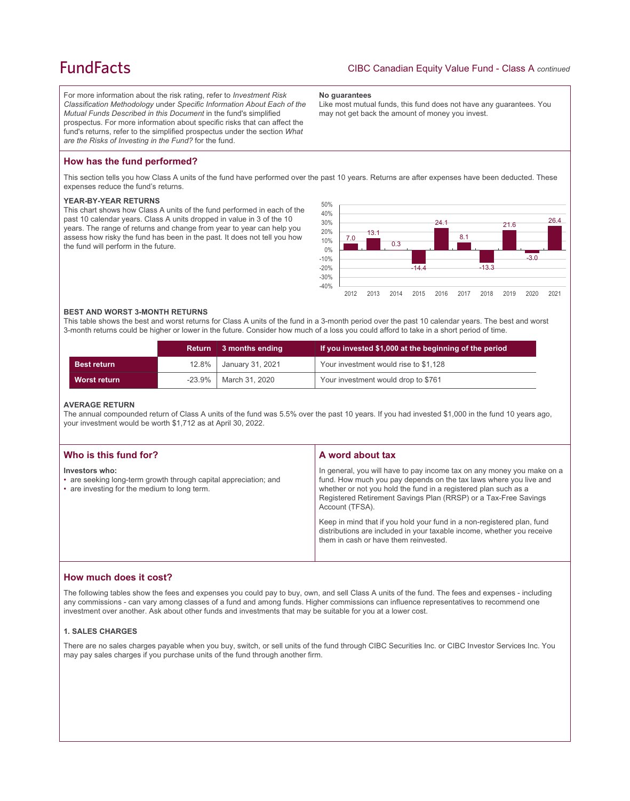## **FundFacts**

For more information about the risk rating, refer to *Investment Risk Classification Methodology* under *Specific Information About Each of the Mutual Funds Described in this Document* in the fund's simplified prospectus. For more information about specific risks that can affect the fund's returns, refer to the simplified prospectus under the section *What are the Risks of Investing in the Fund?* for the fund.

#### **No guarantees**

Like most mutual funds, this fund does not have any guarantees. You may not get back the amount of money you invest.

## **How has the fund performed?**

This section tells you how Class A units of the fund have performed over the past 10 years. Returns are after expenses have been deducted. These expenses reduce the fund's returns.

#### **YEAR-BY-YEAR RETURNS**

This chart shows how Class A units of the fund performed in each of the past 10 calendar years. Class A units dropped in value in 3 of the 10 years. The range of returns and change from year to year can help you assess how risky the fund has been in the past. It does not tell you how the fund will perform in the future.



#### **BEST AND WORST 3-MONTH RETURNS**

This table shows the best and worst returns for Class A units of the fund in a 3-month period over the past 10 calendar years. The best and worst 3-month returns could be higher or lower in the future. Consider how much of a loss you could afford to take in a short period of time.

|                    | <b>Return</b> | $\parallel$ 3 months ending | If you invested \$1,000 at the beginning of the period |
|--------------------|---------------|-----------------------------|--------------------------------------------------------|
| <b>Best return</b> |               | 12.8%   January 31, 2021    | Your investment would rise to \$1,128                  |
| Worst return       | $-23.9\%$     | March 31, 2020              | Your investment would drop to \$761                    |

#### **AVERAGE RETURN**

The annual compounded return of Class A units of the fund was 5.5% over the past 10 years. If you had invested \$1,000 in the fund 10 years ago, your investment would be worth \$1,712 as at April 30, 2022.

| Who is this fund for?                                                                                                              | A word about tax                                                                                                                                                                                                                                                                                     |  |
|------------------------------------------------------------------------------------------------------------------------------------|------------------------------------------------------------------------------------------------------------------------------------------------------------------------------------------------------------------------------------------------------------------------------------------------------|--|
| Investors who:<br>• are seeking long-term growth through capital appreciation; and<br>• are investing for the medium to long term. | In general, you will have to pay income tax on any money you make on a<br>fund. How much you pay depends on the tax laws where you live and<br>whether or not you hold the fund in a registered plan such as a<br>Registered Retirement Savings Plan (RRSP) or a Tax-Free Savings<br>Account (TFSA). |  |
|                                                                                                                                    | Keep in mind that if you hold your fund in a non-registered plan, fund<br>distributions are included in your taxable income, whether you receive<br>them in cash or have them reinvested.                                                                                                            |  |

## **How much does it cost?**

The following tables show the fees and expenses you could pay to buy, own, and sell Class A units of the fund. The fees and expenses - including any commissions - can vary among classes of a fund and among funds. Higher commissions can influence representatives to recommend one investment over another. Ask about other funds and investments that may be suitable for you at a lower cost.

#### **1. SALES CHARGES**

There are no sales charges payable when you buy, switch, or sell units of the fund through CIBC Securities Inc. or CIBC Investor Services Inc. You may pay sales charges if you purchase units of the fund through another firm.